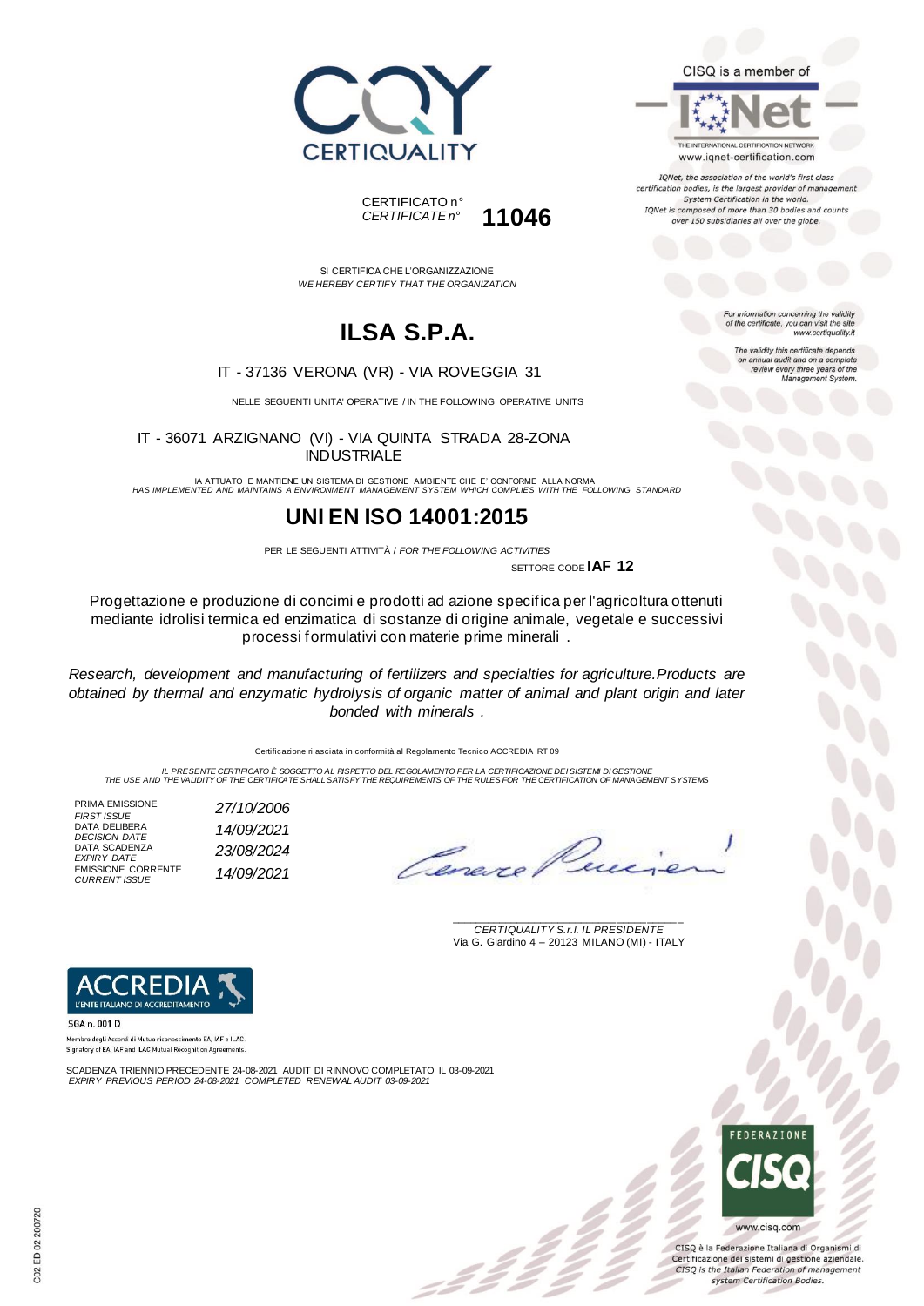

THE INTERNATIONAL CERTIFICATION NETWORK www.iqnet-certification.com IQNet, the association of the world's first class certification bodies, is the largest provider of management System Certification in the world. IQNet is composed of more than 30 bodies and counts over 150 subsidiaries all over the globe.





SI CERTIFICA CHE L'ORGANIZZAZIONE *WE HEREBY CERTIFY THAT THE ORGANIZATION*

# **ILSA S.P.A.**

#### IT - 37136 VERONA (VR) - VIA ROVEGGIA 31

NELLE SEGUENTI UNITA' OPERATIVE / IN THE FOLLOWING OPERATIVE UNITS

IT - 36071 ARZIGNANO (VI) - VIA QUINTA STRADA 28-ZONA INDUSTRIALE

HA ATTUATO E MANTIENE UN SISTEMA DI GESTIONE AMBIENTE CHE E' CONFORME ALLA NORMA *HAS IMPLEMENTED AND MAINTAINS A ENVIRONMENT MANAGEMENT SYSTEM WHICH COMPLIES WITH THE FOLLOWING STANDARD*

### **UNI EN ISO 14001:2015**

PER LE SEGUENTI ATTIVITÀ / *FOR THE FOLLOWING ACTIVITIES* SETTORE CODE **IAF 12**

Progettazione e produzione di concimi e prodotti ad azione specifica per l'agricoltura ottenuti mediante idrolisi termica ed enzimatica di sostanze di origine animale, vegetale e successivi processi formulativi con materie prime minerali .

*Research, development and manufacturing of fertilizers and specialties for agriculture.Products are obtained by thermal and enzymatic hydrolysis of organic matter of animal and plant origin and later bonded with minerals .*

Certificazione rilasciata in conformità al Regolamento Tecnico ACCREDIA RT 09

IL PRESENTE CERTIFICATO E SOGGETTO AL RISPETTO DEL REGOLAMENTO PER LA CERTIFICAZIONE DEI SISTEMI DI GESTIONE<br>THE USE AND THE VALIDITY OF THE CERTIFICATE SHALL SATISFY THE REQUIREMENTS OF THE RULES FOR THE CERTIFICATION OF

PRIMA EMISSIONE *FIRST ISSUE 27/10/2006* DATA DELIBERA *DECISION DATE 14/09/2021* DATA SCADENZA *EXPIRY DATE 23/08/2024* EMISSIONE CORRENTE *CURRENT ISSUE 14/09/2021*

\_\_\_\_\_\_\_\_\_\_\_\_\_\_\_\_\_\_\_\_\_\_\_\_\_\_\_\_\_\_\_\_\_\_\_\_\_\_\_ *CERTIQUALITY S.r.l. IL PRESIDENTE* Via G. Giardino 4 – 20123 MILANO (MI) - ITALY



SGA n. 001 D

Membro degli Accordi di Mutuo riconoscimento EA, IAF e ILAC. Signatory of EA, IAF and ILAC Mutual Recognition Agree

SCADENZA TRIENNIO PRECEDENTE 24-08-2021 AUDIT DI RINNOVO COMPLETATO IL 03-09-2021 *EXPIRY PREVIOUS PERIOD 24-08-2021 COMPLETED RENEWAL AUDIT 03-09-2021*



CISQ è la Federazione Italiana di Organismi di Certificazione dei sistemi di gestione aziendale. CISQ is the Italian Federation of management system Certification Bodies.

For information concerning the validity<br>of the certificate, you can visit the site www.certiquality.it

> The validity this certificate depends on annual audit and on a complete<br>review every three years of the<br>Management System.